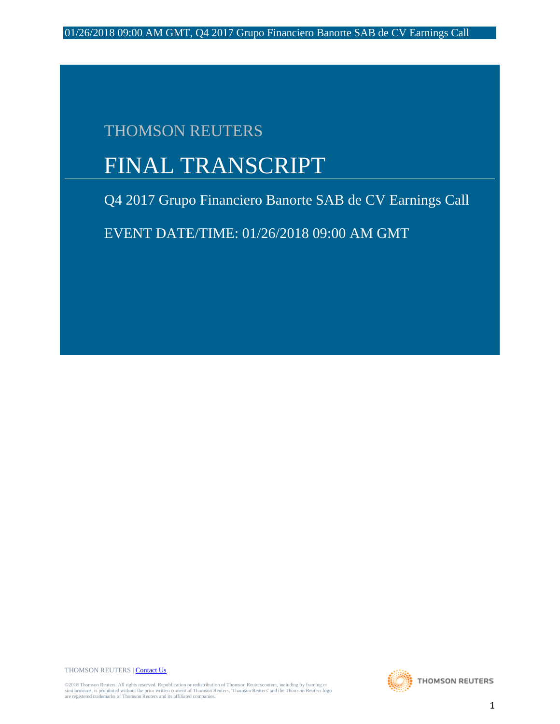## THOMSON REUTERS

# FINAL TRANSCRIPT

Q4 2017 Grupo Financiero Banorte SAB de CV Earnings Call

EVENT DATE/TIME: 01/26/2018 09:00 AM GMT

THOMSON REUTERS [| Contact Us](http://financial.thomsonreuters.com/en/contact-us.html)

©2018 Thomson Reuters. All rights reserved. Republication or redistribution of Thomson Reuterscontent, including by framing or<br>similarmeans, is prohibited without the prior written consent of Thomson Reuters. Thomson Reute

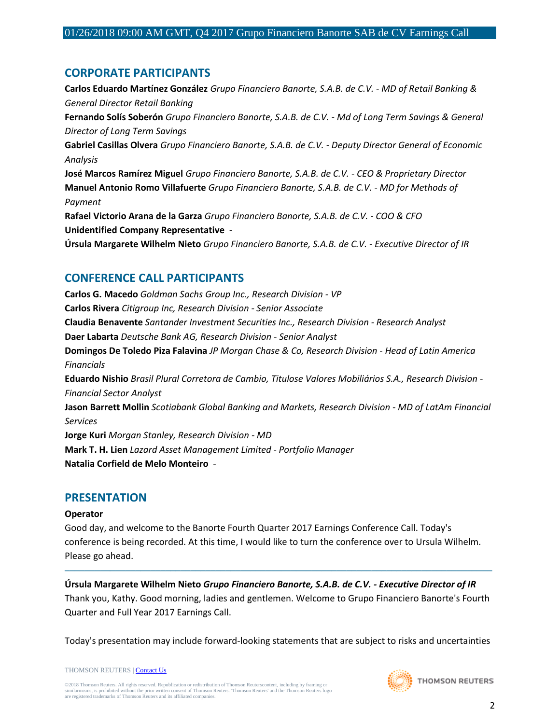## **CORPORATE PARTICIPANTS**

**Carlos Eduardo Martínez González** *Grupo Financiero Banorte, S.A.B. de C.V. - MD of Retail Banking & General Director Retail Banking* **Fernando Solís Soberón** *Grupo Financiero Banorte, S.A.B. de C.V. - Md of Long Term Savings & General Director of Long Term Savings* **Gabriel Casillas Olvera** *Grupo Financiero Banorte, S.A.B. de C.V. - Deputy Director General of Economic Analysis* **José Marcos Ramírez Miguel** *Grupo Financiero Banorte, S.A.B. de C.V. - CEO & Proprietary Director* **Manuel Antonio Romo Villafuerte** *Grupo Financiero Banorte, S.A.B. de C.V. - MD for Methods of Payment* **Rafael Victorio Arana de la Garza** *Grupo Financiero Banorte, S.A.B. de C.V. - COO & CFO* **Unidentified Company Representative** *-* **Úrsula Margarete Wilhelm Nieto** *Grupo Financiero Banorte, S.A.B. de C.V. - Executive Director of IR*

## **CONFERENCE CALL PARTICIPANTS**

**Carlos G. Macedo** *Goldman Sachs Group Inc., Research Division - VP* **Carlos Rivera** *Citigroup Inc, Research Division - Senior Associate* **Claudia Benavente** *Santander Investment Securities Inc., Research Division - Research Analyst* **Daer Labarta** *Deutsche Bank AG, Research Division - Senior Analyst* **Domingos De Toledo Piza Falavina** *JP Morgan Chase & Co, Research Division - Head of Latin America Financials* **Eduardo Nishio** *Brasil Plural Corretora de Cambio, Titulose Valores Mobiliários S.A., Research Division - Financial Sector Analyst* **Jason Barrett Mollin** *Scotiabank Global Banking and Markets, Research Division - MD of LatAm Financial Services* **Jorge Kuri** *Morgan Stanley, Research Division - MD* **Mark T. H. Lien** *Lazard Asset Management Limited - Portfolio Manager* **Natalia Corfield de Melo Monteiro** *-*

## **PRESENTATION**

#### **Operator**

Good day, and welcome to the Banorte Fourth Quarter 2017 Earnings Conference Call. Today's conference is being recorded. At this time, I would like to turn the conference over to Ursula Wilhelm. Please go ahead.

**Úrsula Margarete Wilhelm Nieto** *Grupo Financiero Banorte, S.A.B. de C.V. - Executive Director of IR* Thank you, Kathy. Good morning, ladies and gentlemen. Welcome to Grupo Financiero Banorte's Fourth Quarter and Full Year 2017 Earnings Call.

─────────────────────────────────────────────────────────────────────────────────────

Today's presentation may include forward-looking statements that are subject to risks and uncertainties

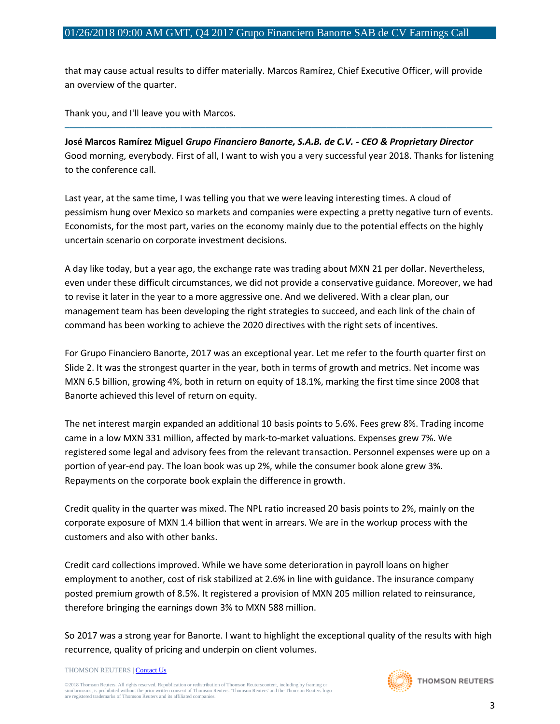that may cause actual results to differ materially. Marcos Ramírez, Chief Executive Officer, will provide an overview of the quarter.

Thank you, and I'll leave you with Marcos.

**José Marcos Ramírez Miguel** *Grupo Financiero Banorte, S.A.B. de C.V. - CEO & Proprietary Director* Good morning, everybody. First of all, I want to wish you a very successful year 2018. Thanks for listening to the conference call.

─────────────────────────────────────────────────────────────────────────────────────

Last year, at the same time, I was telling you that we were leaving interesting times. A cloud of pessimism hung over Mexico so markets and companies were expecting a pretty negative turn of events. Economists, for the most part, varies on the economy mainly due to the potential effects on the highly uncertain scenario on corporate investment decisions.

A day like today, but a year ago, the exchange rate was trading about MXN 21 per dollar. Nevertheless, even under these difficult circumstances, we did not provide a conservative guidance. Moreover, we had to revise it later in the year to a more aggressive one. And we delivered. With a clear plan, our management team has been developing the right strategies to succeed, and each link of the chain of command has been working to achieve the 2020 directives with the right sets of incentives.

For Grupo Financiero Banorte, 2017 was an exceptional year. Let me refer to the fourth quarter first on Slide 2. It was the strongest quarter in the year, both in terms of growth and metrics. Net income was MXN 6.5 billion, growing 4%, both in return on equity of 18.1%, marking the first time since 2008 that Banorte achieved this level of return on equity.

The net interest margin expanded an additional 10 basis points to 5.6%. Fees grew 8%. Trading income came in a low MXN 331 million, affected by mark-to-market valuations. Expenses grew 7%. We registered some legal and advisory fees from the relevant transaction. Personnel expenses were up on a portion of year-end pay. The loan book was up 2%, while the consumer book alone grew 3%. Repayments on the corporate book explain the difference in growth.

Credit quality in the quarter was mixed. The NPL ratio increased 20 basis points to 2%, mainly on the corporate exposure of MXN 1.4 billion that went in arrears. We are in the workup process with the customers and also with other banks.

Credit card collections improved. While we have some deterioration in payroll loans on higher employment to another, cost of risk stabilized at 2.6% in line with guidance. The insurance company posted premium growth of 8.5%. It registered a provision of MXN 205 million related to reinsurance, therefore bringing the earnings down 3% to MXN 588 million.

So 2017 was a strong year for Banorte. I want to highlight the exceptional quality of the results with high recurrence, quality of pricing and underpin on client volumes.

THOMSON REUTERS [| Contact Us](http://financial.thomsonreuters.com/en/contact-us.html)

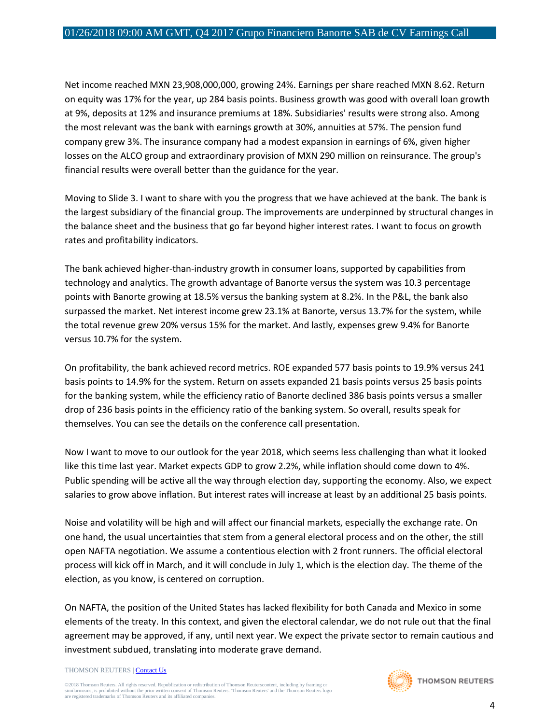Net income reached MXN 23,908,000,000, growing 24%. Earnings per share reached MXN 8.62. Return on equity was 17% for the year, up 284 basis points. Business growth was good with overall loan growth at 9%, deposits at 12% and insurance premiums at 18%. Subsidiaries' results were strong also. Among the most relevant was the bank with earnings growth at 30%, annuities at 57%. The pension fund company grew 3%. The insurance company had a modest expansion in earnings of 6%, given higher losses on the ALCO group and extraordinary provision of MXN 290 million on reinsurance. The group's financial results were overall better than the guidance for the year.

Moving to Slide 3. I want to share with you the progress that we have achieved at the bank. The bank is the largest subsidiary of the financial group. The improvements are underpinned by structural changes in the balance sheet and the business that go far beyond higher interest rates. I want to focus on growth rates and profitability indicators.

The bank achieved higher-than-industry growth in consumer loans, supported by capabilities from technology and analytics. The growth advantage of Banorte versus the system was 10.3 percentage points with Banorte growing at 18.5% versus the banking system at 8.2%. In the P&L, the bank also surpassed the market. Net interest income grew 23.1% at Banorte, versus 13.7% for the system, while the total revenue grew 20% versus 15% for the market. And lastly, expenses grew 9.4% for Banorte versus 10.7% for the system.

On profitability, the bank achieved record metrics. ROE expanded 577 basis points to 19.9% versus 241 basis points to 14.9% for the system. Return on assets expanded 21 basis points versus 25 basis points for the banking system, while the efficiency ratio of Banorte declined 386 basis points versus a smaller drop of 236 basis points in the efficiency ratio of the banking system. So overall, results speak for themselves. You can see the details on the conference call presentation.

Now I want to move to our outlook for the year 2018, which seems less challenging than what it looked like this time last year. Market expects GDP to grow 2.2%, while inflation should come down to 4%. Public spending will be active all the way through election day, supporting the economy. Also, we expect salaries to grow above inflation. But interest rates will increase at least by an additional 25 basis points.

Noise and volatility will be high and will affect our financial markets, especially the exchange rate. On one hand, the usual uncertainties that stem from a general electoral process and on the other, the still open NAFTA negotiation. We assume a contentious election with 2 front runners. The official electoral process will kick off in March, and it will conclude in July 1, which is the election day. The theme of the election, as you know, is centered on corruption.

On NAFTA, the position of the United States has lacked flexibility for both Canada and Mexico in some elements of the treaty. In this context, and given the electoral calendar, we do not rule out that the final agreement may be approved, if any, until next year. We expect the private sector to remain cautious and investment subdued, translating into moderate grave demand.

THOMSON REUTERS [| Contact Us](http://financial.thomsonreuters.com/en/contact-us.html)

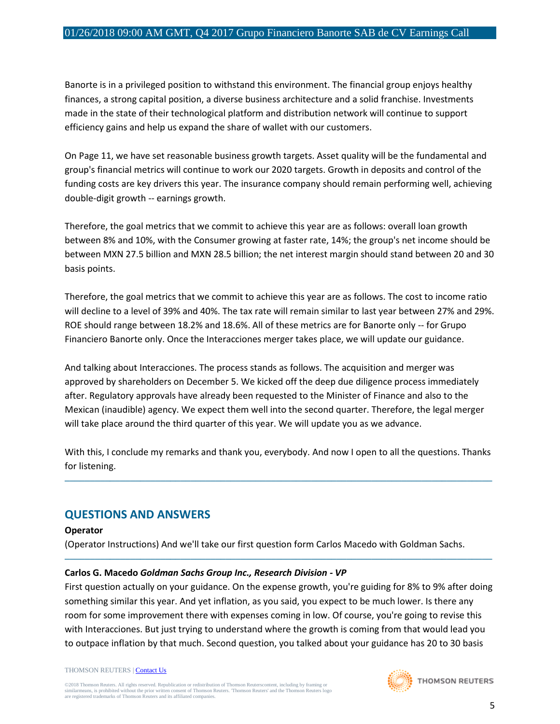Banorte is in a privileged position to withstand this environment. The financial group enjoys healthy finances, a strong capital position, a diverse business architecture and a solid franchise. Investments made in the state of their technological platform and distribution network will continue to support efficiency gains and help us expand the share of wallet with our customers.

On Page 11, we have set reasonable business growth targets. Asset quality will be the fundamental and group's financial metrics will continue to work our 2020 targets. Growth in deposits and control of the funding costs are key drivers this year. The insurance company should remain performing well, achieving double-digit growth -- earnings growth.

Therefore, the goal metrics that we commit to achieve this year are as follows: overall loan growth between 8% and 10%, with the Consumer growing at faster rate, 14%; the group's net income should be between MXN 27.5 billion and MXN 28.5 billion; the net interest margin should stand between 20 and 30 basis points.

Therefore, the goal metrics that we commit to achieve this year are as follows. The cost to income ratio will decline to a level of 39% and 40%. The tax rate will remain similar to last year between 27% and 29%. ROE should range between 18.2% and 18.6%. All of these metrics are for Banorte only -- for Grupo Financiero Banorte only. Once the Interacciones merger takes place, we will update our guidance.

And talking about Interacciones. The process stands as follows. The acquisition and merger was approved by shareholders on December 5. We kicked off the deep due diligence process immediately after. Regulatory approvals have already been requested to the Minister of Finance and also to the Mexican (inaudible) agency. We expect them well into the second quarter. Therefore, the legal merger will take place around the third quarter of this year. We will update you as we advance.

With this, I conclude my remarks and thank you, everybody. And now I open to all the questions. Thanks for listening.

─────────────────────────────────────────────────────────────────────────────────────

## **QUESTIONS AND ANSWERS**

#### **Operator**

(Operator Instructions) And we'll take our first question form Carlos Macedo with Goldman Sachs.

#### **Carlos G. Macedo** *Goldman Sachs Group Inc., Research Division - VP*

First question actually on your guidance. On the expense growth, you're guiding for 8% to 9% after doing something similar this year. And yet inflation, as you said, you expect to be much lower. Is there any room for some improvement there with expenses coming in low. Of course, you're going to revise this with Interacciones. But just trying to understand where the growth is coming from that would lead you to outpace inflation by that much. Second question, you talked about your guidance has 20 to 30 basis

─────────────────────────────────────────────────────────────────────────────────────

THOMSON REUTERS [| Contact Us](http://financial.thomsonreuters.com/en/contact-us.html)

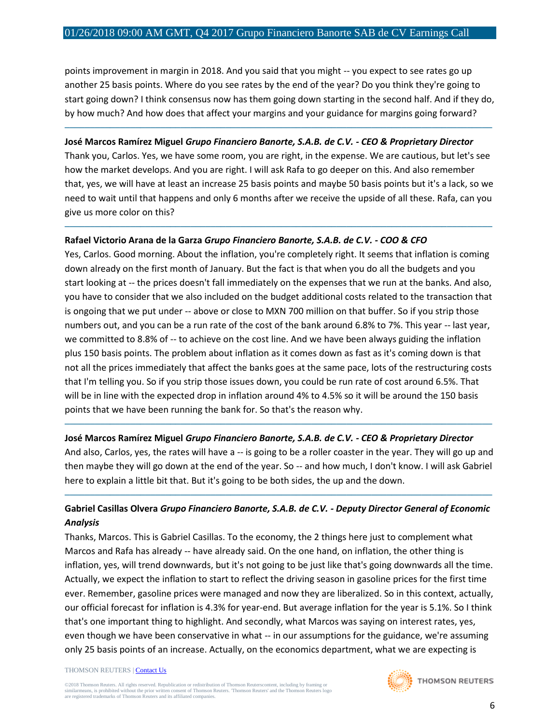points improvement in margin in 2018. And you said that you might -- you expect to see rates go up another 25 basis points. Where do you see rates by the end of the year? Do you think they're going to start going down? I think consensus now has them going down starting in the second half. And if they do, by how much? And how does that affect your margins and your guidance for margins going forward?

─────────────────────────────────────────────────────────────────────────────────────

#### **José Marcos Ramírez Miguel** *Grupo Financiero Banorte, S.A.B. de C.V. - CEO & Proprietary Director*

Thank you, Carlos. Yes, we have some room, you are right, in the expense. We are cautious, but let's see how the market develops. And you are right. I will ask Rafa to go deeper on this. And also remember that, yes, we will have at least an increase 25 basis points and maybe 50 basis points but it's a lack, so we need to wait until that happens and only 6 months after we receive the upside of all these. Rafa, can you give us more color on this?

─────────────────────────────────────────────────────────────────────────────────────

#### **Rafael Victorio Arana de la Garza** *Grupo Financiero Banorte, S.A.B. de C.V. - COO & CFO*

Yes, Carlos. Good morning. About the inflation, you're completely right. It seems that inflation is coming down already on the first month of January. But the fact is that when you do all the budgets and you start looking at -- the prices doesn't fall immediately on the expenses that we run at the banks. And also, you have to consider that we also included on the budget additional costs related to the transaction that is ongoing that we put under -- above or close to MXN 700 million on that buffer. So if you strip those numbers out, and you can be a run rate of the cost of the bank around 6.8% to 7%. This year -- last year, we committed to 8.8% of -- to achieve on the cost line. And we have been always guiding the inflation plus 150 basis points. The problem about inflation as it comes down as fast as it's coming down is that not all the prices immediately that affect the banks goes at the same pace, lots of the restructuring costs that I'm telling you. So if you strip those issues down, you could be run rate of cost around 6.5%. That will be in line with the expected drop in inflation around 4% to 4.5% so it will be around the 150 basis points that we have been running the bank for. So that's the reason why.

#### **José Marcos Ramírez Miguel** *Grupo Financiero Banorte, S.A.B. de C.V. - CEO & Proprietary Director*

And also, Carlos, yes, the rates will have a -- is going to be a roller coaster in the year. They will go up and then maybe they will go down at the end of the year. So -- and how much, I don't know. I will ask Gabriel here to explain a little bit that. But it's going to be both sides, the up and the down.

─────────────────────────────────────────────────────────────────────────────────────

#### **Gabriel Casillas Olvera** *Grupo Financiero Banorte, S.A.B. de C.V. - Deputy Director General of Economic Analysis*

─────────────────────────────────────────────────────────────────────────────────────

Thanks, Marcos. This is Gabriel Casillas. To the economy, the 2 things here just to complement what Marcos and Rafa has already -- have already said. On the one hand, on inflation, the other thing is inflation, yes, will trend downwards, but it's not going to be just like that's going downwards all the time. Actually, we expect the inflation to start to reflect the driving season in gasoline prices for the first time ever. Remember, gasoline prices were managed and now they are liberalized. So in this context, actually, our official forecast for inflation is 4.3% for year-end. But average inflation for the year is 5.1%. So I think that's one important thing to highlight. And secondly, what Marcos was saying on interest rates, yes, even though we have been conservative in what -- in our assumptions for the guidance, we're assuming only 25 basis points of an increase. Actually, on the economics department, what we are expecting is

#### THOMSON REUTERS [| Contact Us](http://financial.thomsonreuters.com/en/contact-us.html)

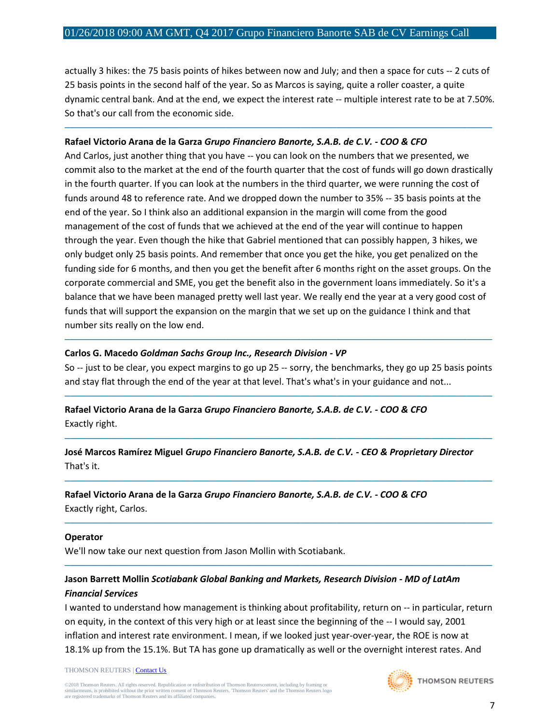actually 3 hikes: the 75 basis points of hikes between now and July; and then a space for cuts -- 2 cuts of 25 basis points in the second half of the year. So as Marcos is saying, quite a roller coaster, a quite dynamic central bank. And at the end, we expect the interest rate -- multiple interest rate to be at 7.50%. So that's our call from the economic side.

─────────────────────────────────────────────────────────────────────────────────────

#### **Rafael Victorio Arana de la Garza** *Grupo Financiero Banorte, S.A.B. de C.V. - COO & CFO*

And Carlos, just another thing that you have -- you can look on the numbers that we presented, we commit also to the market at the end of the fourth quarter that the cost of funds will go down drastically in the fourth quarter. If you can look at the numbers in the third quarter, we were running the cost of funds around 48 to reference rate. And we dropped down the number to 35% -- 35 basis points at the end of the year. So I think also an additional expansion in the margin will come from the good management of the cost of funds that we achieved at the end of the year will continue to happen through the year. Even though the hike that Gabriel mentioned that can possibly happen, 3 hikes, we only budget only 25 basis points. And remember that once you get the hike, you get penalized on the funding side for 6 months, and then you get the benefit after 6 months right on the asset groups. On the corporate commercial and SME, you get the benefit also in the government loans immediately. So it's a balance that we have been managed pretty well last year. We really end the year at a very good cost of funds that will support the expansion on the margin that we set up on the guidance I think and that number sits really on the low end.

#### **Carlos G. Macedo** *Goldman Sachs Group Inc., Research Division - VP*

So -- just to be clear, you expect margins to go up 25 -- sorry, the benchmarks, they go up 25 basis points and stay flat through the end of the year at that level. That's what's in your guidance and not...

─────────────────────────────────────────────────────────────────────────────────────

─────────────────────────────────────────────────────────────────────────────────────

─────────────────────────────────────────────────────────────────────────────────────

─────────────────────────────────────────────────────────────────────────────────────

─────────────────────────────────────────────────────────────────────────────────────

─────────────────────────────────────────────────────────────────────────────────────

**Rafael Victorio Arana de la Garza** *Grupo Financiero Banorte, S.A.B. de C.V. - COO & CFO* Exactly right.

**José Marcos Ramírez Miguel** *Grupo Financiero Banorte, S.A.B. de C.V. - CEO & Proprietary Director* That's it.

**Rafael Victorio Arana de la Garza** *Grupo Financiero Banorte, S.A.B. de C.V. - COO & CFO* Exactly right, Carlos.

#### **Operator**

We'll now take our next question from Jason Mollin with Scotiabank.

## **Jason Barrett Mollin** *Scotiabank Global Banking and Markets, Research Division - MD of LatAm Financial Services*

I wanted to understand how management is thinking about profitability, return on -- in particular, return on equity, in the context of this very high or at least since the beginning of the -- I would say, 2001 inflation and interest rate environment. I mean, if we looked just year-over-year, the ROE is now at 18.1% up from the 15.1%. But TA has gone up dramatically as well or the overnight interest rates. And

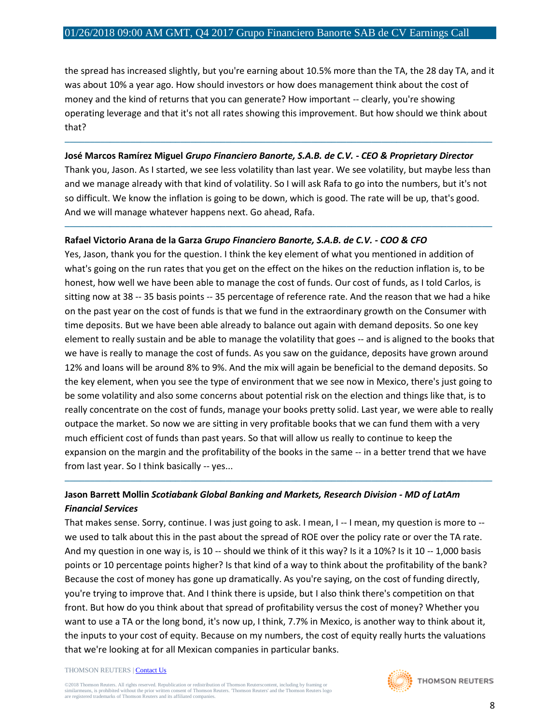the spread has increased slightly, but you're earning about 10.5% more than the TA, the 28 day TA, and it was about 10% a year ago. How should investors or how does management think about the cost of money and the kind of returns that you can generate? How important -- clearly, you're showing operating leverage and that it's not all rates showing this improvement. But how should we think about that?

#### **José Marcos Ramírez Miguel** *Grupo Financiero Banorte, S.A.B. de C.V. - CEO & Proprietary Director*

Thank you, Jason. As I started, we see less volatility than last year. We see volatility, but maybe less than and we manage already with that kind of volatility. So I will ask Rafa to go into the numbers, but it's not so difficult. We know the inflation is going to be down, which is good. The rate will be up, that's good. And we will manage whatever happens next. Go ahead, Rafa.

─────────────────────────────────────────────────────────────────────────────────────

─────────────────────────────────────────────────────────────────────────────────────

#### **Rafael Victorio Arana de la Garza** *Grupo Financiero Banorte, S.A.B. de C.V. - COO & CFO*

Yes, Jason, thank you for the question. I think the key element of what you mentioned in addition of what's going on the run rates that you get on the effect on the hikes on the reduction inflation is, to be honest, how well we have been able to manage the cost of funds. Our cost of funds, as I told Carlos, is sitting now at 38 -- 35 basis points -- 35 percentage of reference rate. And the reason that we had a hike on the past year on the cost of funds is that we fund in the extraordinary growth on the Consumer with time deposits. But we have been able already to balance out again with demand deposits. So one key element to really sustain and be able to manage the volatility that goes -- and is aligned to the books that we have is really to manage the cost of funds. As you saw on the guidance, deposits have grown around 12% and loans will be around 8% to 9%. And the mix will again be beneficial to the demand deposits. So the key element, when you see the type of environment that we see now in Mexico, there's just going to be some volatility and also some concerns about potential risk on the election and things like that, is to really concentrate on the cost of funds, manage your books pretty solid. Last year, we were able to really outpace the market. So now we are sitting in very profitable books that we can fund them with a very much efficient cost of funds than past years. So that will allow us really to continue to keep the expansion on the margin and the profitability of the books in the same -- in a better trend that we have from last year. So I think basically -- yes...

## **Jason Barrett Mollin** *Scotiabank Global Banking and Markets, Research Division - MD of LatAm Financial Services*

─────────────────────────────────────────────────────────────────────────────────────

That makes sense. Sorry, continue. I was just going to ask. I mean, I -- I mean, my question is more to - we used to talk about this in the past about the spread of ROE over the policy rate or over the TA rate. And my question in one way is, is 10 -- should we think of it this way? Is it a 10%? Is it 10 -- 1,000 basis points or 10 percentage points higher? Is that kind of a way to think about the profitability of the bank? Because the cost of money has gone up dramatically. As you're saying, on the cost of funding directly, you're trying to improve that. And I think there is upside, but I also think there's competition on that front. But how do you think about that spread of profitability versus the cost of money? Whether you want to use a TA or the long bond, it's now up, I think, 7.7% in Mexico, is another way to think about it, the inputs to your cost of equity. Because on my numbers, the cost of equity really hurts the valuations that we're looking at for all Mexican companies in particular banks.

#### THOMSON REUTERS [| Contact Us](http://financial.thomsonreuters.com/en/contact-us.html)

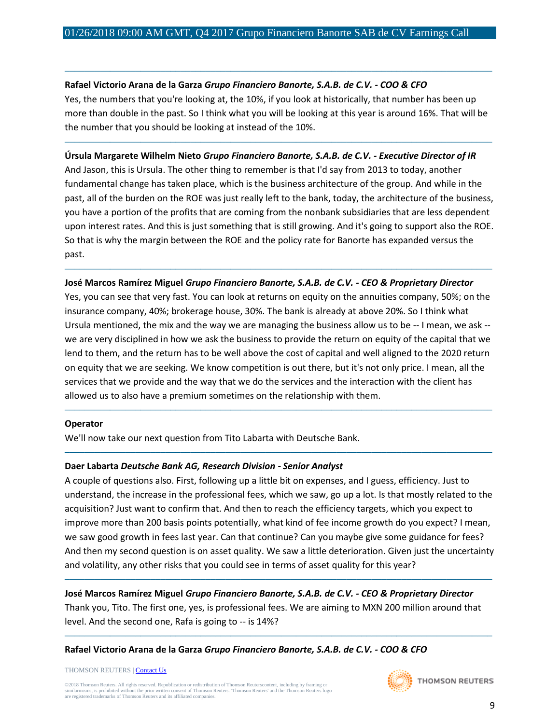#### **Rafael Victorio Arana de la Garza** *Grupo Financiero Banorte, S.A.B. de C.V. - COO & CFO*

Yes, the numbers that you're looking at, the 10%, if you look at historically, that number has been up more than double in the past. So I think what you will be looking at this year is around 16%. That will be the number that you should be looking at instead of the 10%.

─────────────────────────────────────────────────────────────────────────────────────

─────────────────────────────────────────────────────────────────────────────────────

#### **Úrsula Margarete Wilhelm Nieto** *Grupo Financiero Banorte, S.A.B. de C.V. - Executive Director of IR*

And Jason, this is Ursula. The other thing to remember is that I'd say from 2013 to today, another fundamental change has taken place, which is the business architecture of the group. And while in the past, all of the burden on the ROE was just really left to the bank, today, the architecture of the business, you have a portion of the profits that are coming from the nonbank subsidiaries that are less dependent upon interest rates. And this is just something that is still growing. And it's going to support also the ROE. So that is why the margin between the ROE and the policy rate for Banorte has expanded versus the past.

#### **José Marcos Ramírez Miguel** *Grupo Financiero Banorte, S.A.B. de C.V. - CEO & Proprietary Director*

─────────────────────────────────────────────────────────────────────────────────────

Yes, you can see that very fast. You can look at returns on equity on the annuities company, 50%; on the insurance company, 40%; brokerage house, 30%. The bank is already at above 20%. So I think what Ursula mentioned, the mix and the way we are managing the business allow us to be -- I mean, we ask - we are very disciplined in how we ask the business to provide the return on equity of the capital that we lend to them, and the return has to be well above the cost of capital and well aligned to the 2020 return on equity that we are seeking. We know competition is out there, but it's not only price. I mean, all the services that we provide and the way that we do the services and the interaction with the client has allowed us to also have a premium sometimes on the relationship with them.

─────────────────────────────────────────────────────────────────────────────────────

─────────────────────────────────────────────────────────────────────────────────────

#### **Operator**

We'll now take our next question from Tito Labarta with Deutsche Bank.

#### **Daer Labarta** *Deutsche Bank AG, Research Division - Senior Analyst*

A couple of questions also. First, following up a little bit on expenses, and I guess, efficiency. Just to understand, the increase in the professional fees, which we saw, go up a lot. Is that mostly related to the acquisition? Just want to confirm that. And then to reach the efficiency targets, which you expect to improve more than 200 basis points potentially, what kind of fee income growth do you expect? I mean, we saw good growth in fees last year. Can that continue? Can you maybe give some guidance for fees? And then my second question is on asset quality. We saw a little deterioration. Given just the uncertainty and volatility, any other risks that you could see in terms of asset quality for this year?

**José Marcos Ramírez Miguel** *Grupo Financiero Banorte, S.A.B. de C.V. - CEO & Proprietary Director* Thank you, Tito. The first one, yes, is professional fees. We are aiming to MXN 200 million around that level. And the second one, Rafa is going to -- is 14%?

─────────────────────────────────────────────────────────────────────────────────────

─────────────────────────────────────────────────────────────────────────────────────

**Rafael Victorio Arana de la Garza** *Grupo Financiero Banorte, S.A.B. de C.V. - COO & CFO*

THOMSON REUTERS [| Contact Us](http://financial.thomsonreuters.com/en/contact-us.html)

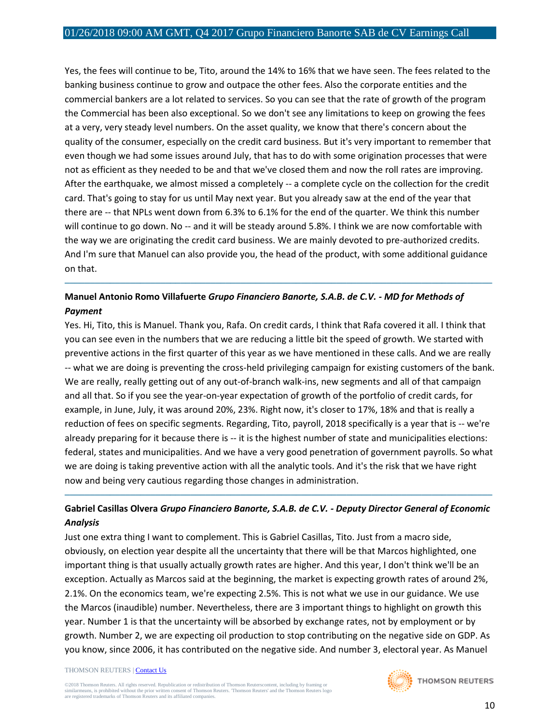Yes, the fees will continue to be, Tito, around the 14% to 16% that we have seen. The fees related to the banking business continue to grow and outpace the other fees. Also the corporate entities and the commercial bankers are a lot related to services. So you can see that the rate of growth of the program the Commercial has been also exceptional. So we don't see any limitations to keep on growing the fees at a very, very steady level numbers. On the asset quality, we know that there's concern about the quality of the consumer, especially on the credit card business. But it's very important to remember that even though we had some issues around July, that has to do with some origination processes that were not as efficient as they needed to be and that we've closed them and now the roll rates are improving. After the earthquake, we almost missed a completely -- a complete cycle on the collection for the credit card. That's going to stay for us until May next year. But you already saw at the end of the year that there are -- that NPLs went down from 6.3% to 6.1% for the end of the quarter. We think this number will continue to go down. No -- and it will be steady around 5.8%. I think we are now comfortable with the way we are originating the credit card business. We are mainly devoted to pre-authorized credits. And I'm sure that Manuel can also provide you, the head of the product, with some additional guidance on that.

## **Manuel Antonio Romo Villafuerte** *Grupo Financiero Banorte, S.A.B. de C.V. - MD for Methods of Payment*

─────────────────────────────────────────────────────────────────────────────────────

Yes. Hi, Tito, this is Manuel. Thank you, Rafa. On credit cards, I think that Rafa covered it all. I think that you can see even in the numbers that we are reducing a little bit the speed of growth. We started with preventive actions in the first quarter of this year as we have mentioned in these calls. And we are really -- what we are doing is preventing the cross-held privileging campaign for existing customers of the bank. We are really, really getting out of any out-of-branch walk-ins, new segments and all of that campaign and all that. So if you see the year-on-year expectation of growth of the portfolio of credit cards, for example, in June, July, it was around 20%, 23%. Right now, it's closer to 17%, 18% and that is really a reduction of fees on specific segments. Regarding, Tito, payroll, 2018 specifically is a year that is -- we're already preparing for it because there is -- it is the highest number of state and municipalities elections: federal, states and municipalities. And we have a very good penetration of government payrolls. So what we are doing is taking preventive action with all the analytic tools. And it's the risk that we have right now and being very cautious regarding those changes in administration.

## **Gabriel Casillas Olvera** *Grupo Financiero Banorte, S.A.B. de C.V. - Deputy Director General of Economic Analysis*

─────────────────────────────────────────────────────────────────────────────────────

Just one extra thing I want to complement. This is Gabriel Casillas, Tito. Just from a macro side, obviously, on election year despite all the uncertainty that there will be that Marcos highlighted, one important thing is that usually actually growth rates are higher. And this year, I don't think we'll be an exception. Actually as Marcos said at the beginning, the market is expecting growth rates of around 2%, 2.1%. On the economics team, we're expecting 2.5%. This is not what we use in our guidance. We use the Marcos (inaudible) number. Nevertheless, there are 3 important things to highlight on growth this year. Number 1 is that the uncertainty will be absorbed by exchange rates, not by employment or by growth. Number 2, we are expecting oil production to stop contributing on the negative side on GDP. As you know, since 2006, it has contributed on the negative side. And number 3, electoral year. As Manuel

#### THOMSON REUTERS [| Contact Us](http://financial.thomsonreuters.com/en/contact-us.html)

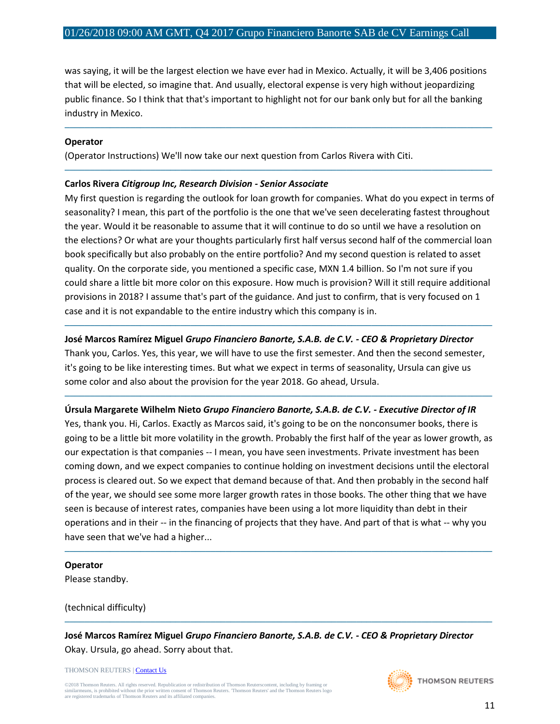was saying, it will be the largest election we have ever had in Mexico. Actually, it will be 3,406 positions that will be elected, so imagine that. And usually, electoral expense is very high without jeopardizing public finance. So I think that that's important to highlight not for our bank only but for all the banking industry in Mexico.

─────────────────────────────────────────────────────────────────────────────────────

─────────────────────────────────────────────────────────────────────────────────────

#### **Operator**

(Operator Instructions) We'll now take our next question from Carlos Rivera with Citi.

#### **Carlos Rivera** *Citigroup Inc, Research Division - Senior Associate*

My first question is regarding the outlook for loan growth for companies. What do you expect in terms of seasonality? I mean, this part of the portfolio is the one that we've seen decelerating fastest throughout the year. Would it be reasonable to assume that it will continue to do so until we have a resolution on the elections? Or what are your thoughts particularly first half versus second half of the commercial loan book specifically but also probably on the entire portfolio? And my second question is related to asset quality. On the corporate side, you mentioned a specific case, MXN 1.4 billion. So I'm not sure if you could share a little bit more color on this exposure. How much is provision? Will it still require additional provisions in 2018? I assume that's part of the guidance. And just to confirm, that is very focused on 1 case and it is not expandable to the entire industry which this company is in.

#### **José Marcos Ramírez Miguel** *Grupo Financiero Banorte, S.A.B. de C.V. - CEO & Proprietary Director*

─────────────────────────────────────────────────────────────────────────────────────

Thank you, Carlos. Yes, this year, we will have to use the first semester. And then the second semester, it's going to be like interesting times. But what we expect in terms of seasonality, Ursula can give us some color and also about the provision for the year 2018. Go ahead, Ursula.

─────────────────────────────────────────────────────────────────────────────────────

#### **Úrsula Margarete Wilhelm Nieto** *Grupo Financiero Banorte, S.A.B. de C.V. - Executive Director of IR*

Yes, thank you. Hi, Carlos. Exactly as Marcos said, it's going to be on the nonconsumer books, there is going to be a little bit more volatility in the growth. Probably the first half of the year as lower growth, as our expectation is that companies -- I mean, you have seen investments. Private investment has been coming down, and we expect companies to continue holding on investment decisions until the electoral process is cleared out. So we expect that demand because of that. And then probably in the second half of the year, we should see some more larger growth rates in those books. The other thing that we have seen is because of interest rates, companies have been using a lot more liquidity than debt in their operations and in their -- in the financing of projects that they have. And part of that is what -- why you have seen that we've had a higher...

─────────────────────────────────────────────────────────────────────────────────────

#### **Operator**

Please standby.

(technical difficulty)

**José Marcos Ramírez Miguel** *Grupo Financiero Banorte, S.A.B. de C.V. - CEO & Proprietary Director* Okay. Ursula, go ahead. Sorry about that.

─────────────────────────────────────────────────────────────────────────────────────

THOMSON REUTERS [| Contact Us](http://financial.thomsonreuters.com/en/contact-us.html)

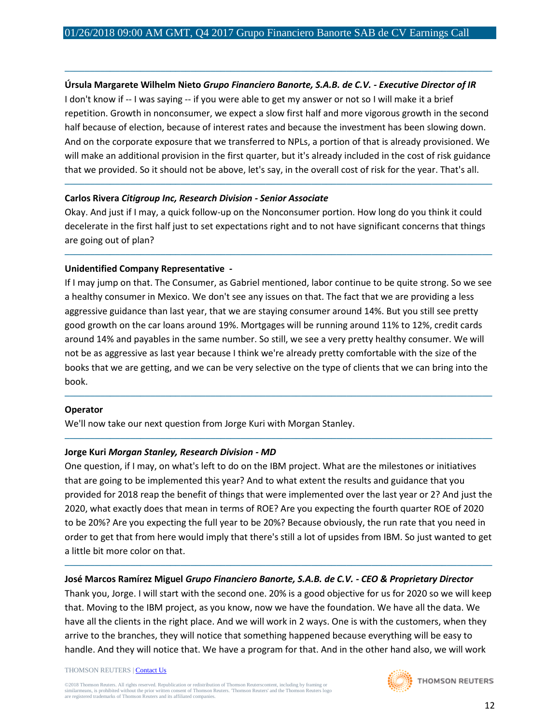#### **Úrsula Margarete Wilhelm Nieto** *Grupo Financiero Banorte, S.A.B. de C.V. - Executive Director of IR*

─────────────────────────────────────────────────────────────────────────────────────

I don't know if -- I was saying -- if you were able to get my answer or not so I will make it a brief repetition. Growth in nonconsumer, we expect a slow first half and more vigorous growth in the second half because of election, because of interest rates and because the investment has been slowing down. And on the corporate exposure that we transferred to NPLs, a portion of that is already provisioned. We will make an additional provision in the first quarter, but it's already included in the cost of risk guidance that we provided. So it should not be above, let's say, in the overall cost of risk for the year. That's all.

─────────────────────────────────────────────────────────────────────────────────────

#### **Carlos Rivera** *Citigroup Inc, Research Division - Senior Associate*

Okay. And just if I may, a quick follow-up on the Nonconsumer portion. How long do you think it could decelerate in the first half just to set expectations right and to not have significant concerns that things are going out of plan?

─────────────────────────────────────────────────────────────────────────────────────

#### **Unidentified Company Representative** *-*

If I may jump on that. The Consumer, as Gabriel mentioned, labor continue to be quite strong. So we see a healthy consumer in Mexico. We don't see any issues on that. The fact that we are providing a less aggressive guidance than last year, that we are staying consumer around 14%. But you still see pretty good growth on the car loans around 19%. Mortgages will be running around 11% to 12%, credit cards around 14% and payables in the same number. So still, we see a very pretty healthy consumer. We will not be as aggressive as last year because I think we're already pretty comfortable with the size of the books that we are getting, and we can be very selective on the type of clients that we can bring into the book.

─────────────────────────────────────────────────────────────────────────────────────

─────────────────────────────────────────────────────────────────────────────────────

#### **Operator**

We'll now take our next question from Jorge Kuri with Morgan Stanley.

#### **Jorge Kuri** *Morgan Stanley, Research Division - MD*

One question, if I may, on what's left to do on the IBM project. What are the milestones or initiatives that are going to be implemented this year? And to what extent the results and guidance that you provided for 2018 reap the benefit of things that were implemented over the last year or 2? And just the 2020, what exactly does that mean in terms of ROE? Are you expecting the fourth quarter ROE of 2020 to be 20%? Are you expecting the full year to be 20%? Because obviously, the run rate that you need in order to get that from here would imply that there's still a lot of upsides from IBM. So just wanted to get a little bit more color on that.

#### **José Marcos Ramírez Miguel** *Grupo Financiero Banorte, S.A.B. de C.V. - CEO & Proprietary Director*

Thank you, Jorge. I will start with the second one. 20% is a good objective for us for 2020 so we will keep that. Moving to the IBM project, as you know, now we have the foundation. We have all the data. We have all the clients in the right place. And we will work in 2 ways. One is with the customers, when they arrive to the branches, they will notice that something happened because everything will be easy to handle. And they will notice that. We have a program for that. And in the other hand also, we will work

─────────────────────────────────────────────────────────────────────────────────────

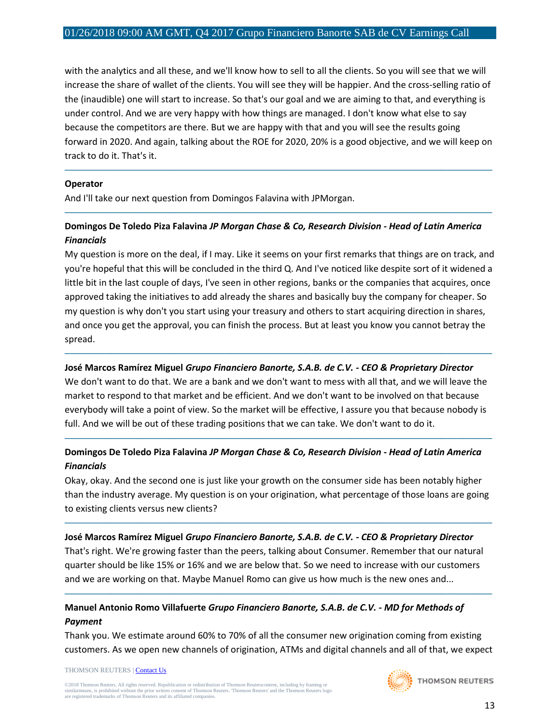with the analytics and all these, and we'll know how to sell to all the clients. So you will see that we will increase the share of wallet of the clients. You will see they will be happier. And the cross-selling ratio of the (inaudible) one will start to increase. So that's our goal and we are aiming to that, and everything is under control. And we are very happy with how things are managed. I don't know what else to say because the competitors are there. But we are happy with that and you will see the results going forward in 2020. And again, talking about the ROE for 2020, 20% is a good objective, and we will keep on track to do it. That's it.

─────────────────────────────────────────────────────────────────────────────────────

─────────────────────────────────────────────────────────────────────────────────────

#### **Operator**

And I'll take our next question from Domingos Falavina with JPMorgan.

#### **Domingos De Toledo Piza Falavina** *JP Morgan Chase & Co, Research Division - Head of Latin America Financials*

My question is more on the deal, if I may. Like it seems on your first remarks that things are on track, and you're hopeful that this will be concluded in the third Q. And I've noticed like despite sort of it widened a little bit in the last couple of days, I've seen in other regions, banks or the companies that acquires, once approved taking the initiatives to add already the shares and basically buy the company for cheaper. So my question is why don't you start using your treasury and others to start acquiring direction in shares, and once you get the approval, you can finish the process. But at least you know you cannot betray the spread.

#### **José Marcos Ramírez Miguel** *Grupo Financiero Banorte, S.A.B. de C.V. - CEO & Proprietary Director*

We don't want to do that. We are a bank and we don't want to mess with all that, and we will leave the market to respond to that market and be efficient. And we don't want to be involved on that because everybody will take a point of view. So the market will be effective, I assure you that because nobody is full. And we will be out of these trading positions that we can take. We don't want to do it.

─────────────────────────────────────────────────────────────────────────────────────

## **Domingos De Toledo Piza Falavina** *JP Morgan Chase & Co, Research Division - Head of Latin America Financials*

─────────────────────────────────────────────────────────────────────────────────────

Okay, okay. And the second one is just like your growth on the consumer side has been notably higher than the industry average. My question is on your origination, what percentage of those loans are going to existing clients versus new clients?

─────────────────────────────────────────────────────────────────────────────────────

#### **José Marcos Ramírez Miguel** *Grupo Financiero Banorte, S.A.B. de C.V. - CEO & Proprietary Director*

That's right. We're growing faster than the peers, talking about Consumer. Remember that our natural quarter should be like 15% or 16% and we are below that. So we need to increase with our customers and we are working on that. Maybe Manuel Romo can give us how much is the new ones and...

─────────────────────────────────────────────────────────────────────────────────────

## **Manuel Antonio Romo Villafuerte** *Grupo Financiero Banorte, S.A.B. de C.V. - MD for Methods of Payment*

Thank you. We estimate around 60% to 70% of all the consumer new origination coming from existing customers. As we open new channels of origination, ATMs and digital channels and all of that, we expect

#### THOMSON REUTERS [| Contact Us](http://financial.thomsonreuters.com/en/contact-us.html)

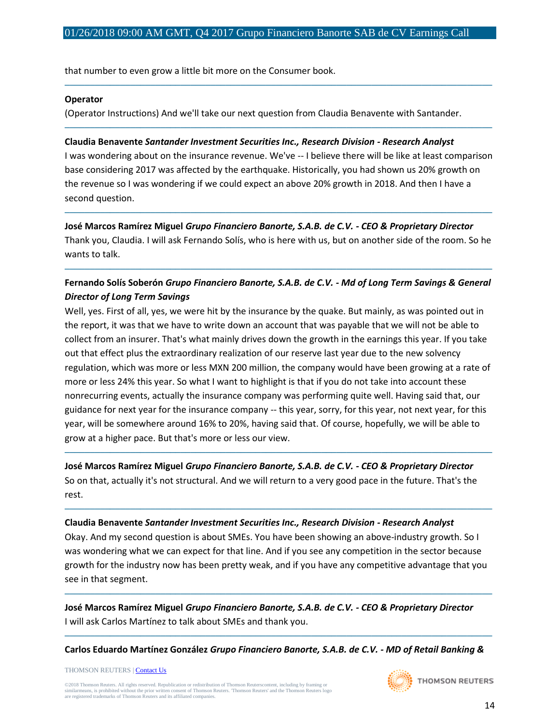that number to even grow a little bit more on the Consumer book.

#### **Operator**

(Operator Instructions) And we'll take our next question from Claudia Benavente with Santander.

#### **Claudia Benavente** *Santander Investment Securities Inc., Research Division - Research Analyst*

I was wondering about on the insurance revenue. We've -- I believe there will be like at least comparison base considering 2017 was affected by the earthquake. Historically, you had shown us 20% growth on the revenue so I was wondering if we could expect an above 20% growth in 2018. And then I have a second question.

─────────────────────────────────────────────────────────────────────────────────────

─────────────────────────────────────────────────────────────────────────────────────

**José Marcos Ramírez Miguel** *Grupo Financiero Banorte, S.A.B. de C.V. - CEO & Proprietary Director* Thank you, Claudia. I will ask Fernando Solís, who is here with us, but on another side of the room. So he wants to talk.

─────────────────────────────────────────────────────────────────────────────────────

## **Fernando Solís Soberón** *Grupo Financiero Banorte, S.A.B. de C.V. - Md of Long Term Savings & General Director of Long Term Savings*

─────────────────────────────────────────────────────────────────────────────────────

Well, yes. First of all, yes, we were hit by the insurance by the quake. But mainly, as was pointed out in the report, it was that we have to write down an account that was payable that we will not be able to collect from an insurer. That's what mainly drives down the growth in the earnings this year. If you take out that effect plus the extraordinary realization of our reserve last year due to the new solvency regulation, which was more or less MXN 200 million, the company would have been growing at a rate of more or less 24% this year. So what I want to highlight is that if you do not take into account these nonrecurring events, actually the insurance company was performing quite well. Having said that, our guidance for next year for the insurance company -- this year, sorry, for this year, not next year, for this year, will be somewhere around 16% to 20%, having said that. Of course, hopefully, we will be able to grow at a higher pace. But that's more or less our view.

**José Marcos Ramírez Miguel** *Grupo Financiero Banorte, S.A.B. de C.V. - CEO & Proprietary Director* So on that, actually it's not structural. And we will return to a very good pace in the future. That's the rest.

─────────────────────────────────────────────────────────────────────────────────────

#### **Claudia Benavente** *Santander Investment Securities Inc., Research Division - Research Analyst*

Okay. And my second question is about SMEs. You have been showing an above-industry growth. So I was wondering what we can expect for that line. And if you see any competition in the sector because growth for the industry now has been pretty weak, and if you have any competitive advantage that you see in that segment.

─────────────────────────────────────────────────────────────────────────────────────

─────────────────────────────────────────────────────────────────────────────────────

**José Marcos Ramírez Miguel** *Grupo Financiero Banorte, S.A.B. de C.V. - CEO & Proprietary Director* I will ask Carlos Martínez to talk about SMEs and thank you.

───────────────────────────────────────────────────────────────────────────────────── **Carlos Eduardo Martínez González** *Grupo Financiero Banorte, S.A.B. de C.V. - MD of Retail Banking &* 

THOMSON REUTERS [| Contact Us](http://financial.thomsonreuters.com/en/contact-us.html)

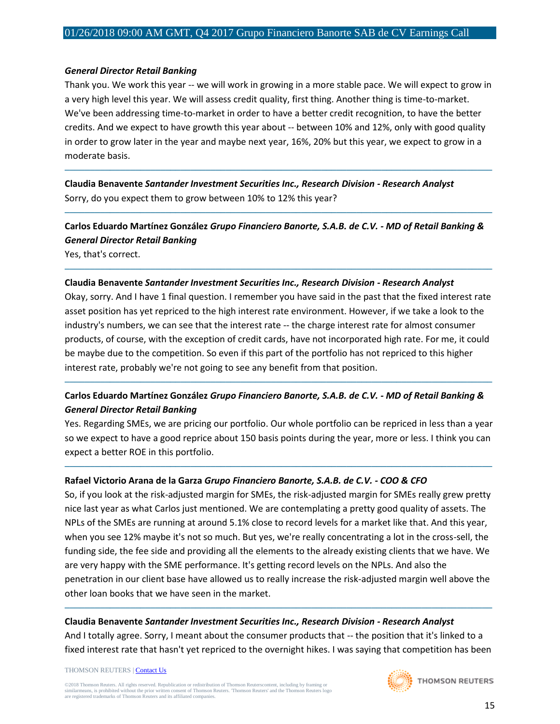#### *General Director Retail Banking*

Thank you. We work this year -- we will work in growing in a more stable pace. We will expect to grow in a very high level this year. We will assess credit quality, first thing. Another thing is time-to-market. We've been addressing time-to-market in order to have a better credit recognition, to have the better credits. And we expect to have growth this year about -- between 10% and 12%, only with good quality in order to grow later in the year and maybe next year, 16%, 20% but this year, we expect to grow in a moderate basis.

─────────────────────────────────────────────────────────────────────────────────────

**Claudia Benavente** *Santander Investment Securities Inc., Research Division - Research Analyst* Sorry, do you expect them to grow between 10% to 12% this year?

**Carlos Eduardo Martínez González** *Grupo Financiero Banorte, S.A.B. de C.V. - MD of Retail Banking & General Director Retail Banking*

─────────────────────────────────────────────────────────────────────────────────────

─────────────────────────────────────────────────────────────────────────────────────

Yes, that's correct.

#### **Claudia Benavente** *Santander Investment Securities Inc., Research Division - Research Analyst*

Okay, sorry. And I have 1 final question. I remember you have said in the past that the fixed interest rate asset position has yet repriced to the high interest rate environment. However, if we take a look to the industry's numbers, we can see that the interest rate -- the charge interest rate for almost consumer products, of course, with the exception of credit cards, have not incorporated high rate. For me, it could be maybe due to the competition. So even if this part of the portfolio has not repriced to this higher interest rate, probably we're not going to see any benefit from that position.

#### **Carlos Eduardo Martínez González** *Grupo Financiero Banorte, S.A.B. de C.V. - MD of Retail Banking & General Director Retail Banking*

─────────────────────────────────────────────────────────────────────────────────────

Yes. Regarding SMEs, we are pricing our portfolio. Our whole portfolio can be repriced in less than a year so we expect to have a good reprice about 150 basis points during the year, more or less. I think you can expect a better ROE in this portfolio.

─────────────────────────────────────────────────────────────────────────────────────

#### **Rafael Victorio Arana de la Garza** *Grupo Financiero Banorte, S.A.B. de C.V. - COO & CFO*

So, if you look at the risk-adjusted margin for SMEs, the risk-adjusted margin for SMEs really grew pretty nice last year as what Carlos just mentioned. We are contemplating a pretty good quality of assets. The NPLs of the SMEs are running at around 5.1% close to record levels for a market like that. And this year, when you see 12% maybe it's not so much. But yes, we're really concentrating a lot in the cross-sell, the funding side, the fee side and providing all the elements to the already existing clients that we have. We are very happy with the SME performance. It's getting record levels on the NPLs. And also the penetration in our client base have allowed us to really increase the risk-adjusted margin well above the other loan books that we have seen in the market.

#### **Claudia Benavente** *Santander Investment Securities Inc., Research Division - Research Analyst*

And I totally agree. Sorry, I meant about the consumer products that -- the position that it's linked to a fixed interest rate that hasn't yet repriced to the overnight hikes. I was saying that competition has been

─────────────────────────────────────────────────────────────────────────────────────

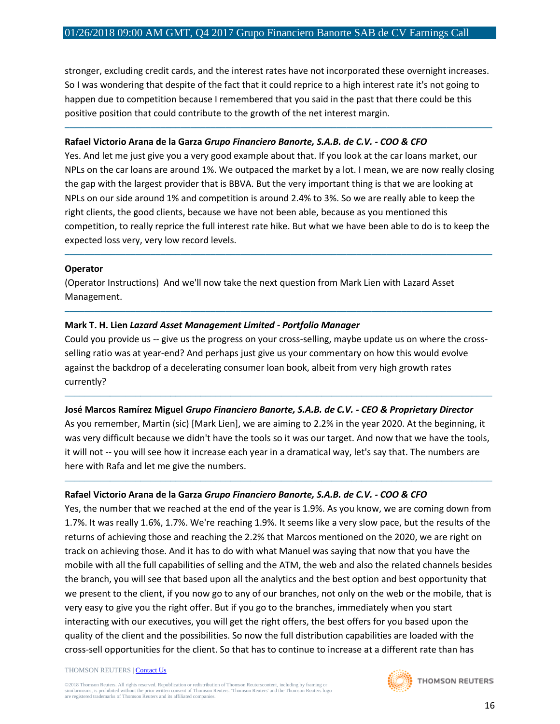stronger, excluding credit cards, and the interest rates have not incorporated these overnight increases. So I was wondering that despite of the fact that it could reprice to a high interest rate it's not going to happen due to competition because I remembered that you said in the past that there could be this positive position that could contribute to the growth of the net interest margin.

─────────────────────────────────────────────────────────────────────────────────────

#### **Rafael Victorio Arana de la Garza** *Grupo Financiero Banorte, S.A.B. de C.V. - COO & CFO*

Yes. And let me just give you a very good example about that. If you look at the car loans market, our NPLs on the car loans are around 1%. We outpaced the market by a lot. I mean, we are now really closing the gap with the largest provider that is BBVA. But the very important thing is that we are looking at NPLs on our side around 1% and competition is around 2.4% to 3%. So we are really able to keep the right clients, the good clients, because we have not been able, because as you mentioned this competition, to really reprice the full interest rate hike. But what we have been able to do is to keep the expected loss very, very low record levels.

─────────────────────────────────────────────────────────────────────────────────────

─────────────────────────────────────────────────────────────────────────────────────

#### **Operator**

(Operator Instructions) And we'll now take the next question from Mark Lien with Lazard Asset Management.

#### **Mark T. H. Lien** *Lazard Asset Management Limited - Portfolio Manager*

Could you provide us -- give us the progress on your cross-selling, maybe update us on where the crossselling ratio was at year-end? And perhaps just give us your commentary on how this would evolve against the backdrop of a decelerating consumer loan book, albeit from very high growth rates currently?

─────────────────────────────────────────────────────────────────────────────────────

#### **José Marcos Ramírez Miguel** *Grupo Financiero Banorte, S.A.B. de C.V. - CEO & Proprietary Director*

As you remember, Martin (sic) [Mark Lien], we are aiming to 2.2% in the year 2020. At the beginning, it was very difficult because we didn't have the tools so it was our target. And now that we have the tools, it will not -- you will see how it increase each year in a dramatical way, let's say that. The numbers are here with Rafa and let me give the numbers.

─────────────────────────────────────────────────────────────────────────────────────

#### **Rafael Victorio Arana de la Garza** *Grupo Financiero Banorte, S.A.B. de C.V. - COO & CFO*

Yes, the number that we reached at the end of the year is 1.9%. As you know, we are coming down from 1.7%. It was really 1.6%, 1.7%. We're reaching 1.9%. It seems like a very slow pace, but the results of the returns of achieving those and reaching the 2.2% that Marcos mentioned on the 2020, we are right on track on achieving those. And it has to do with what Manuel was saying that now that you have the mobile with all the full capabilities of selling and the ATM, the web and also the related channels besides the branch, you will see that based upon all the analytics and the best option and best opportunity that we present to the client, if you now go to any of our branches, not only on the web or the mobile, that is very easy to give you the right offer. But if you go to the branches, immediately when you start interacting with our executives, you will get the right offers, the best offers for you based upon the quality of the client and the possibilities. So now the full distribution capabilities are loaded with the cross-sell opportunities for the client. So that has to continue to increase at a different rate than has

#### THOMSON REUTERS [| Contact Us](http://financial.thomsonreuters.com/en/contact-us.html)

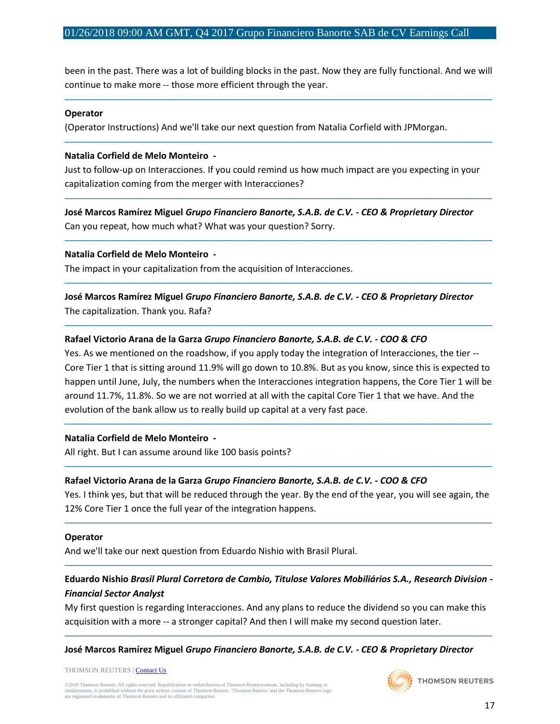been in the past. There was a lot of building blocks in the past. Now they are fully functional. And we will continue to make more -- those more efficient through the year.

─────────────────────────────────────────────────────────────────────────────────────

─────────────────────────────────────────────────────────────────────────────────────

#### **Operator**

(Operator Instructions) And we'll take our next question from Natalia Corfield with JPMorgan.

#### **Natalia Corfield de Melo Monteiro** *-*

Just to follow-up on Interacciones. If you could remind us how much impact are you expecting in your capitalization coming from the merger with Interacciones?

─────────────────────────────────────────────────────────────────────────────────────

─────────────────────────────────────────────────────────────────────────────────────

─────────────────────────────────────────────────────────────────────────────────────

─────────────────────────────────────────────────────────────────────────────────────

**José Marcos Ramírez Miguel** *Grupo Financiero Banorte, S.A.B. de C.V. - CEO & Proprietary Director* Can you repeat, how much what? What was your question? Sorry.

#### **Natalia Corfield de Melo Monteiro** *-*

The impact in your capitalization from the acquisition of Interacciones.

**José Marcos Ramírez Miguel** *Grupo Financiero Banorte, S.A.B. de C.V. - CEO & Proprietary Director* The capitalization. Thank you. Rafa?

#### **Rafael Victorio Arana de la Garza** *Grupo Financiero Banorte, S.A.B. de C.V. - COO & CFO*

Yes. As we mentioned on the roadshow, if you apply today the integration of Interacciones, the tier -- Core Tier 1 that is sitting around 11.9% will go down to 10.8%. But as you know, since this is expected to happen until June, July, the numbers when the Interacciones integration happens, the Core Tier 1 will be around 11.7%, 11.8%. So we are not worried at all with the capital Core Tier 1 that we have. And the evolution of the bank allow us to really build up capital at a very fast pace.

─────────────────────────────────────────────────────────────────────────────────────

#### **Natalia Corfield de Melo Monteiro** *-*

All right. But I can assume around like 100 basis points?

#### **Rafael Victorio Arana de la Garza** *Grupo Financiero Banorte, S.A.B. de C.V. - COO & CFO*

Yes. I think yes, but that will be reduced through the year. By the end of the year, you will see again, the 12% Core Tier 1 once the full year of the integration happens.

─────────────────────────────────────────────────────────────────────────────────────

─────────────────────────────────────────────────────────────────────────────────────

#### **Operator**

And we'll take our next question from Eduardo Nishio with Brasil Plural.

## **Eduardo Nishio** *Brasil Plural Corretora de Cambio, Titulose Valores Mobiliários S.A., Research Division - Financial Sector Analyst*

─────────────────────────────────────────────────────────────────────────────────────

My first question is regarding Interacciones. And any plans to reduce the dividend so you can make this acquisition with a more -- a stronger capital? And then I will make my second question later.

─────────────────────────────────────────────────────────────────────────────────────

## **José Marcos Ramírez Miguel** *Grupo Financiero Banorte, S.A.B. de C.V. - CEO & Proprietary Director*

THOMSON REUTERS [| Contact Us](http://financial.thomsonreuters.com/en/contact-us.html)

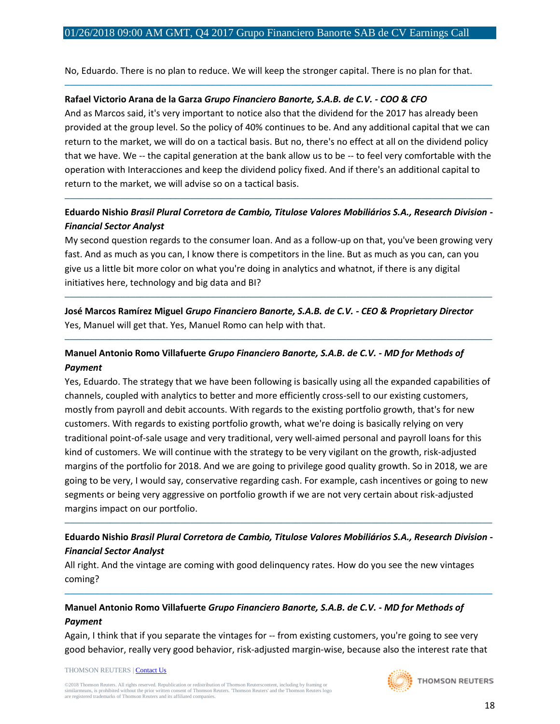No, Eduardo. There is no plan to reduce. We will keep the stronger capital. There is no plan for that.

─────────────────────────────────────────────────────────────────────────────────────

#### **Rafael Victorio Arana de la Garza** *Grupo Financiero Banorte, S.A.B. de C.V. - COO & CFO*

And as Marcos said, it's very important to notice also that the dividend for the 2017 has already been provided at the group level. So the policy of 40% continues to be. And any additional capital that we can return to the market, we will do on a tactical basis. But no, there's no effect at all on the dividend policy that we have. We -- the capital generation at the bank allow us to be -- to feel very comfortable with the operation with Interacciones and keep the dividend policy fixed. And if there's an additional capital to return to the market, we will advise so on a tactical basis.

## **Eduardo Nishio** *Brasil Plural Corretora de Cambio, Titulose Valores Mobiliários S.A., Research Division - Financial Sector Analyst*

─────────────────────────────────────────────────────────────────────────────────────

My second question regards to the consumer loan. And as a follow-up on that, you've been growing very fast. And as much as you can, I know there is competitors in the line. But as much as you can, can you give us a little bit more color on what you're doing in analytics and whatnot, if there is any digital initiatives here, technology and big data and BI?

─────────────────────────────────────────────────────────────────────────────────────

─────────────────────────────────────────────────────────────────────────────────────

**José Marcos Ramírez Miguel** *Grupo Financiero Banorte, S.A.B. de C.V. - CEO & Proprietary Director* Yes, Manuel will get that. Yes, Manuel Romo can help with that.

## **Manuel Antonio Romo Villafuerte** *Grupo Financiero Banorte, S.A.B. de C.V. - MD for Methods of Payment*

Yes, Eduardo. The strategy that we have been following is basically using all the expanded capabilities of channels, coupled with analytics to better and more efficiently cross-sell to our existing customers, mostly from payroll and debit accounts. With regards to the existing portfolio growth, that's for new customers. With regards to existing portfolio growth, what we're doing is basically relying on very traditional point-of-sale usage and very traditional, very well-aimed personal and payroll loans for this kind of customers. We will continue with the strategy to be very vigilant on the growth, risk-adjusted margins of the portfolio for 2018. And we are going to privilege good quality growth. So in 2018, we are going to be very, I would say, conservative regarding cash. For example, cash incentives or going to new segments or being very aggressive on portfolio growth if we are not very certain about risk-adjusted margins impact on our portfolio.

#### **Eduardo Nishio** *Brasil Plural Corretora de Cambio, Titulose Valores Mobiliários S.A., Research Division - Financial Sector Analyst*

─────────────────────────────────────────────────────────────────────────────────────

─────────────────────────────────────────────────────────────────────────────────────

All right. And the vintage are coming with good delinquency rates. How do you see the new vintages coming?

## **Manuel Antonio Romo Villafuerte** *Grupo Financiero Banorte, S.A.B. de C.V. - MD for Methods of Payment*

Again, I think that if you separate the vintages for -- from existing customers, you're going to see very good behavior, really very good behavior, risk-adjusted margin-wise, because also the interest rate that

#### THOMSON REUTERS [| Contact Us](http://financial.thomsonreuters.com/en/contact-us.html)